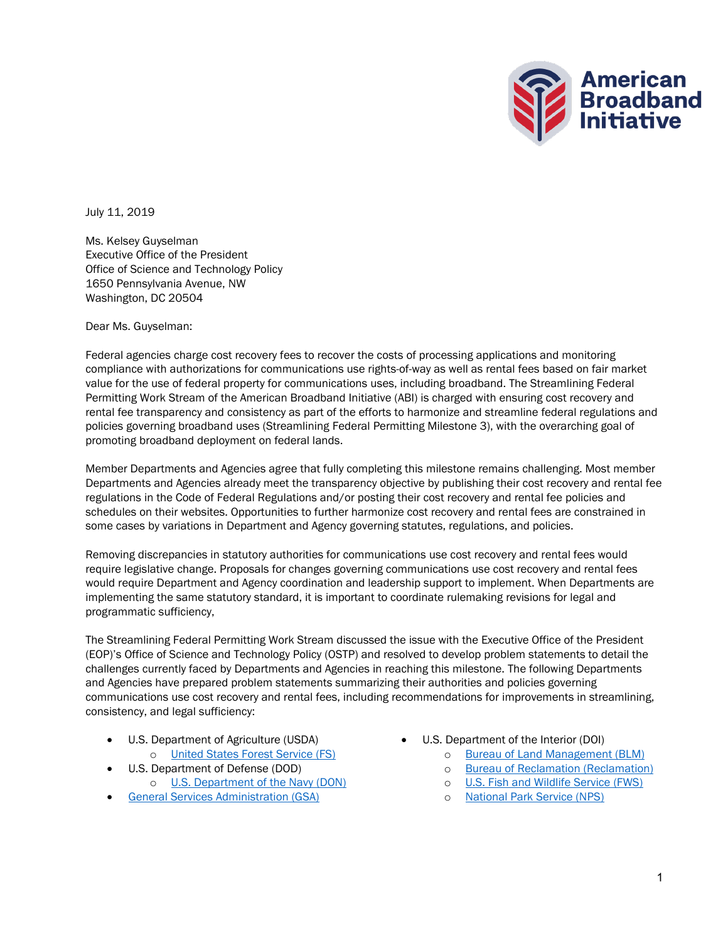

July 11, 2019

Ms. Kelsey Guyselman Executive Office of the President Office of Science and Technology Policy 1650 Pennsylvania Avenue, NW Washington, DC 20504

Dear Ms. Guyselman:

Federal agencies charge cost recovery fees to recover the costs of processing applications and monitoring compliance with authorizations for communications use rights-of-way as well as rental fees based on fair market value for the use of federal property for communications uses, including broadband. The Streamlining Federal Permitting Work Stream of the American Broadband Initiative (ABI) is charged with ensuring cost recovery and rental fee transparency and consistency as part of the efforts to harmonize and streamline federal regulations and policies governing broadband uses (Streamlining Federal Permitting Milestone 3), with the overarching goal of promoting broadband deployment on federal lands.

Member Departments and Agencies agree that fully completing this milestone remains challenging. Most member Departments and Agencies already meet the transparency objective by publishing their cost recovery and rental fee regulations in the Code of Federal Regulations and/or posting their cost recovery and rental fee policies and schedules on their websites. Opportunities to further harmonize cost recovery and rental fees are constrained in some cases by variations in Department and Agency governing statutes, regulations, and policies.

Removing discrepancies in statutory authorities for communications use cost recovery and rental fees would require legislative change. Proposals for changes governing communications use cost recovery and rental fees would require Department and Agency coordination and leadership support to implement. When Departments are implementing the same statutory standard, it is important to coordinate rulemaking revisions for legal and programmatic sufficiency,

The Streamlining Federal Permitting Work Stream discussed the issue with the Executive Office of the President (EOP)'s Office of Science and Technology Policy (OSTP) and resolved to develop problem statements to detail the challenges currently faced by Departments and Agencies in reaching this milestone. The following Departments and Agencies have prepared problem statements summarizing their authorities and policies governing communications use cost recovery and rental fees, including recommendations for improvements in streamlining, consistency, and legal sufficiency:

- U.S. Department of Agriculture (USDA)
	- o [United States Forest Service \(FS\)](#page-3-0)
	- U.S. Department of Defense (DOD)
		- o U.S. [Department of the Navy \(DON\)](#page-4-0)
- **General [Services Administration \(GSA\)](#page-16-0)**
- U.S. Department of the Interior (DOI)
	- o [Bureau of Land Management \(BLM\)](#page-6-0)
	- o [Bureau of Reclamation \(Reclamation\)](#page-11-0)
	- o U.S. [Fish and Wildlife Service \(FWS\)](#page-13-0)
	- o [National Park Service \(NPS\)](#page-14-0)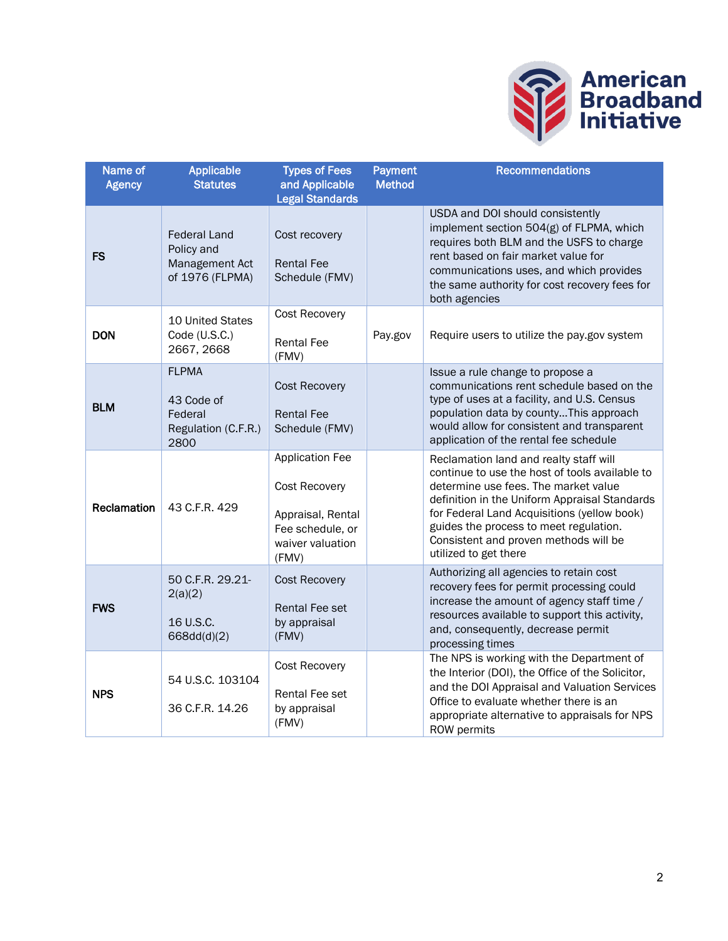

| Name of<br><b>Agency</b> | Applicable<br><b>Statutes</b>                                          | <b>Types of Fees</b><br>and Applicable<br><b>Legal Standards</b>                                              | <b>Payment</b><br><b>Method</b> | <b>Recommendations</b>                                                                                                                                                                                                                                                                                                                       |
|--------------------------|------------------------------------------------------------------------|---------------------------------------------------------------------------------------------------------------|---------------------------------|----------------------------------------------------------------------------------------------------------------------------------------------------------------------------------------------------------------------------------------------------------------------------------------------------------------------------------------------|
| <b>FS</b>                | <b>Federal Land</b><br>Policy and<br>Management Act<br>of 1976 (FLPMA) | Cost recovery<br><b>Rental Fee</b><br>Schedule (FMV)                                                          |                                 | USDA and DOI should consistently<br>implement section 504(g) of FLPMA, which<br>requires both BLM and the USFS to charge<br>rent based on fair market value for<br>communications uses, and which provides<br>the same authority for cost recovery fees for<br>both agencies                                                                 |
| <b>DON</b>               | 10 United States<br>Code (U.S.C.)<br>2667, 2668                        | Cost Recovery<br><b>Rental Fee</b><br>(FMV)                                                                   | Pay.gov                         | Require users to utilize the pay.gov system                                                                                                                                                                                                                                                                                                  |
| <b>BLM</b>               | <b>FLPMA</b><br>43 Code of<br>Federal<br>Regulation (C.F.R.)<br>2800   | <b>Cost Recovery</b><br><b>Rental Fee</b><br>Schedule (FMV)                                                   |                                 | Issue a rule change to propose a<br>communications rent schedule based on the<br>type of uses at a facility, and U.S. Census<br>population data by countyThis approach<br>would allow for consistent and transparent<br>application of the rental fee schedule                                                                               |
| Reclamation              | 43 C.F.R. 429                                                          | <b>Application Fee</b><br>Cost Recovery<br>Appraisal, Rental<br>Fee schedule, or<br>waiver valuation<br>(FMV) |                                 | Reclamation land and realty staff will<br>continue to use the host of tools available to<br>determine use fees. The market value<br>definition in the Uniform Appraisal Standards<br>for Federal Land Acquisitions (yellow book)<br>guides the process to meet regulation.<br>Consistent and proven methods will be<br>utilized to get there |
| <b>FWS</b>               | 50 C.F.R. 29.21-<br>2(a)(2)<br>16 U.S.C.<br>668dd(d)(2)                | <b>Cost Recovery</b><br>Rental Fee set<br>by appraisal<br>(FMV)                                               |                                 | Authorizing all agencies to retain cost<br>recovery fees for permit processing could<br>increase the amount of agency staff time /<br>resources available to support this activity,<br>and, consequently, decrease permit<br>processing times                                                                                                |
| <b>NPS</b>               | 54 U.S.C. 103104<br>36 C.F.R. 14.26                                    | Cost Recovery<br>Rental Fee set<br>by appraisal<br>(FMV)                                                      |                                 | The NPS is working with the Department of<br>the Interior (DOI), the Office of the Solicitor,<br>and the DOI Appraisal and Valuation Services<br>Office to evaluate whether there is an<br>appropriate alternative to appraisals for NPS<br>ROW permits                                                                                      |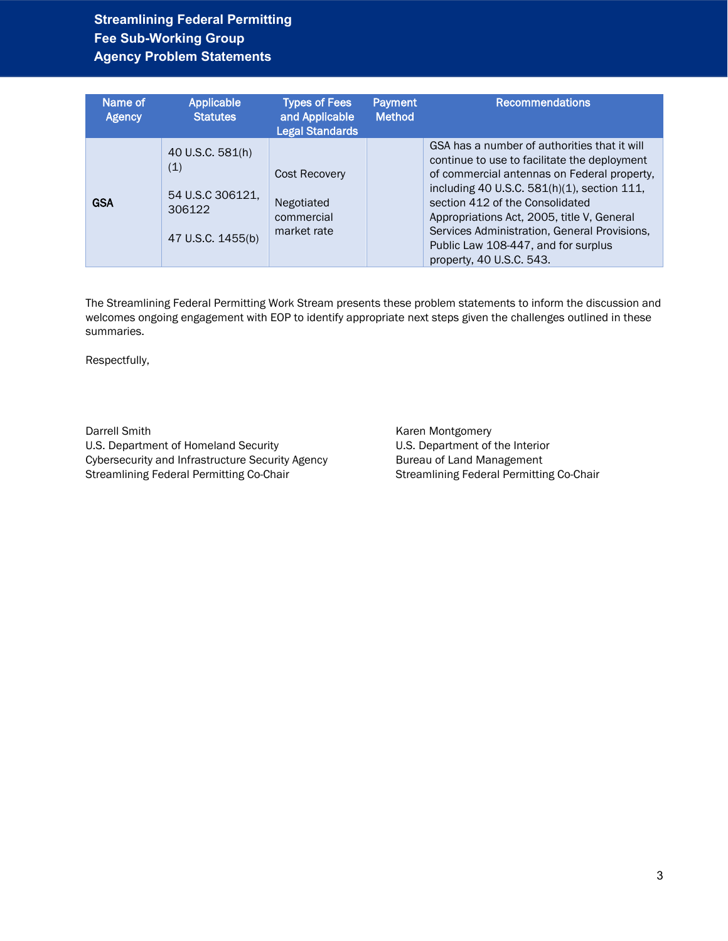| Name of<br><b>Agency</b> | <b>Applicable</b><br><b>Statutes</b>                                       | <b>Types of Fees</b><br>and Applicable<br><b>Legal Standards</b> | <b>Payment</b><br><b>Method</b> | <b>Recommendations</b>                                                                                                                                                                                                                                                                                                                                                                         |
|--------------------------|----------------------------------------------------------------------------|------------------------------------------------------------------|---------------------------------|------------------------------------------------------------------------------------------------------------------------------------------------------------------------------------------------------------------------------------------------------------------------------------------------------------------------------------------------------------------------------------------------|
| <b>GSA</b>               | 40 U.S.C. 581(h)<br>(1)<br>54 U.S.C 306121,<br>306122<br>47 U.S.C. 1455(b) | Cost Recovery<br>Negotiated<br>commercial<br>market rate         |                                 | GSA has a number of authorities that it will<br>continue to use to facilitate the deployment<br>of commercial antennas on Federal property,<br>including 40 U.S.C. 581(h)(1), section 111,<br>section 412 of the Consolidated<br>Appropriations Act, 2005, title V, General<br>Services Administration, General Provisions,<br>Public Law 108-447, and for surplus<br>property, 40 U.S.C. 543. |

The Streamlining Federal Permitting Work Stream presents these problem statements to inform the discussion and welcomes ongoing engagement with EOP to identify appropriate next steps given the challenges outlined in these summaries.

Respectfully,

Darrell Smith U.S. Department of Homeland Security Cybersecurity and Infrastructure Security Agency Streamlining Federal Permitting Co-Chair

Karen Montgomery U.S. Department of the Interior Bureau of Land Management Streamlining Federal Permitting Co-Chair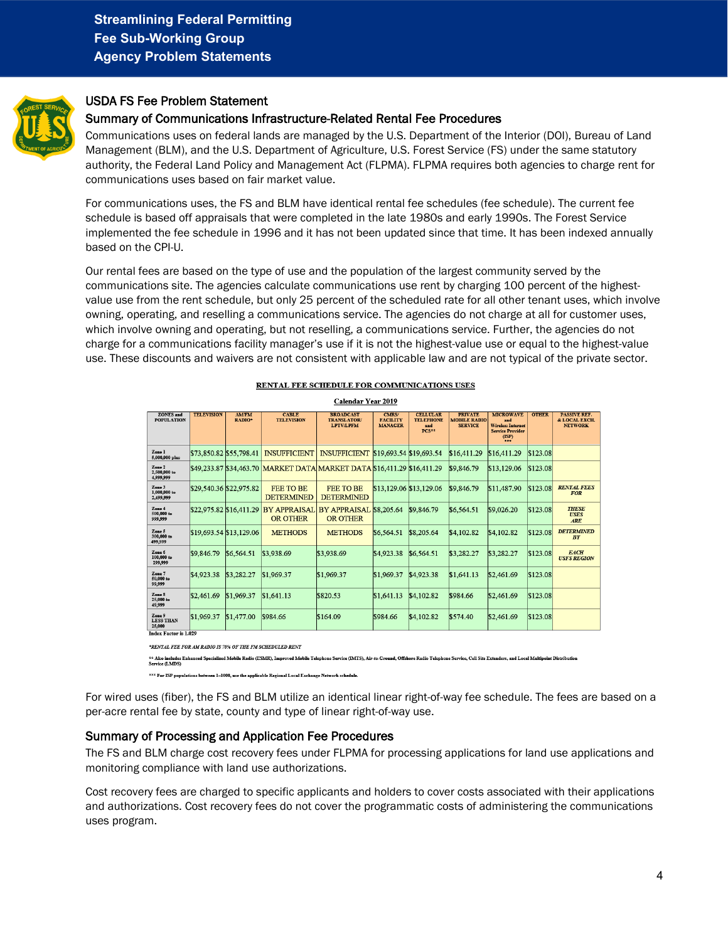<span id="page-3-0"></span>

### USDA FS Fee Problem Statement

#### Summary of Communications Infrastructure-Related Rental Fee Procedures

Communications uses on federal lands are managed by the U.S. Department of the Interior (DOI), Bureau of Land Management (BLM), and the U.S. Department of Agriculture, U.S. Forest Service (FS) under the same statutory authority, the Federal Land Policy and Management Act (FLPMA). FLPMA requires both agencies to charge rent for communications uses based on fair market value.

For communications uses, the FS and BLM have identical rental fee schedules (fee schedule). The current fee schedule is based off appraisals that were completed in the late 1980s and early 1990s. The Forest Service implemented the fee schedule in 1996 and it has not been updated since that time. It has been indexed annually based on the CPI-U.

Our rental fees are based on the type of use and the population of the largest community served by the communications site. The agencies calculate communications use rent by charging 100 percent of the highestvalue use from the rent schedule, but only 25 percent of the scheduled rate for all other tenant uses, which involve owning, operating, and reselling a communications service. The agencies do not charge at all for customer uses, which involve owning and operating, but not reselling, a communications service. Further, the agencies do not charge for a communications facility manager's use if it is not the highest-value use or equal to the highest-value use. These discounts and waivers are not consistent with applicable law and are not typical of the private sector.

|                                                                      | <b>Calendar Year 2019</b> |                        |                                       |                                                                         |                                            |                                                              |                                                         |                                                                                  |              |                                                        |
|----------------------------------------------------------------------|---------------------------|------------------------|---------------------------------------|-------------------------------------------------------------------------|--------------------------------------------|--------------------------------------------------------------|---------------------------------------------------------|----------------------------------------------------------------------------------|--------------|--------------------------------------------------------|
| <b>ZONES</b> and<br><b>POPULATION</b>                                | <b>TELEVISION</b>         | <b>AM/FM</b><br>RADIO* | <b>CABLE</b><br><b>TELEVISION</b>     | <b>BROADCAST</b><br><b>TRANSLATOR</b><br><b>LPTV/LPFM</b>               | CMRS/<br><b>FACILITY</b><br><b>MANAGER</b> | <b>CELLULAR</b><br><b>TELEPHONE</b><br>and<br>$PCS^{\pm\pm}$ | <b>PRIVATE</b><br><b>MOBILE RADIO</b><br><b>SERVICE</b> | <b>MICROWAVE</b><br>and<br>Wireless Internet<br><b>Service Provider</b><br>(ISP) | <b>OTHER</b> | <b>PASSIVE REF.</b><br>& LOCAL EXCH.<br><b>NETWORK</b> |
| Zone 1<br>5,000,000 plus                                             | \$73,850.82 \$55,798.41   |                        | <b>INSUFFICIENT</b>                   | <b>INSUFFICIENT</b>                                                     | \$19,693.54 \$19,693.54                    |                                                              | \$16,411.29                                             | \$16,411.29                                                                      | \$123.08     |                                                        |
| Zone 2<br>2,500,000 to<br>4,999,999                                  |                           |                        |                                       | \$49,233.87 \$34,463.70 MARKET DATA MARKET DATA \$16,411.29 \$16,411.29 |                                            |                                                              | \$9,846.79                                              | \$13,129.06                                                                      | \$123.08     |                                                        |
| Zone 3<br>1,000,000 to<br>2,499,999                                  | \$29,540.36 \$22,975.82   |                        | <b>FEE TO BE</b><br><b>DETERMINED</b> | <b>FEE TO BE</b><br><b>DETERMINED</b>                                   | \$13,129.06 \$13,129.06                    |                                                              | \$9,846.79                                              | \$11,487.90                                                                      | \$123.08     | <b>RENTAL FEES</b><br><b>FOR</b>                       |
| Zone 4<br>500,000 to<br>999,999                                      | \$22,975.82 \$16,411.29   |                        | <b>BY APPRAISAL</b><br>OR OTHER       | BY APPRAISAL \$8,205.64<br><b>OR OTHER</b>                              |                                            | \$9,846.79                                                   | \$6,564.51                                              | \$9,026.20                                                                       | \$123.08     | <b>THESE</b><br><b>USES</b><br>ARE                     |
| Zone 5<br>300,000 to<br>499.999                                      | \$19,693.54 \$13,129.06   |                        | <b>METHODS</b>                        | <b>METHODS</b>                                                          | \$6,564.51                                 | \$8,205.64                                                   | \$4,102.82                                              | \$4,102.82                                                                       | \$123.08     | <b>DETERMINED</b><br>BF                                |
| Zone 6<br>100,000 to<br>299,999                                      | \$9,846.79                | \$6,564.51             | \$3,938.69                            | \$3,938.69                                                              | \$4,923.38                                 | \$6,564.51                                                   | \$3,282.27                                              | \$3,282.27                                                                       | \$123.08     | <b>EACH</b><br><b>USFS REGION</b>                      |
| Zone 7<br>50,000 to<br>99,999                                        | \$4,923.38                | \$3,282.27             | \$1,969.37                            | \$1,969.37                                                              | \$1,969.37                                 | \$4,923.38                                                   | \$1.641.13                                              | \$2,461.69                                                                       | \$123.08     |                                                        |
| Zone 8<br>25,000 to<br>49,999                                        | \$2,461.69                | \$1,969.37             | \$1,641.13                            | \$820.53                                                                | \$1,641.13                                 | \$4,102.82                                                   | \$984.66                                                | \$2,461.69                                                                       | \$123.08     |                                                        |
| Zone 9<br><b>LESS THAN</b><br>25,000<br><b>Index Factor is 1.029</b> | \$1,969.37                | \$1,477.00             | \$984.66                              | \$164.09                                                                | \$984.66                                   | \$4,102.82                                                   | \$574.40                                                | \$2,461.69                                                                       | \$123.08     |                                                        |

#### RENTAL FEE SCHEDULE FOR COMMUNICATIONS USES

\*RENTAL FEE FOR AM RADIO IS 70% OF THE FM SCHEDULED RENT

\*\* Ako includes Enhanced Specialized Mobile Radio (ESMR), Improved Mobile Telephone Service (IMTS), Air-to-Ground, Offshore Radio Telephone Service, Cell Site Extenders, and Local Multipoint Distrib

\*\*\* For ISP populations between 1-1000, use the applicable Regional Local Exchange Network schedule.

For wired uses (fiber), the FS and BLM utilize an identical linear right-of-way fee schedule. The fees are based on a per-acre rental fee by state, county and type of linear right-of-way use.

#### Summary of Processing and Application Fee Procedures

The FS and BLM charge cost recovery fees under FLPMA for processing applications for land use applications and monitoring compliance with land use authorizations.

Cost recovery fees are charged to specific applicants and holders to cover costs associated with their applications and authorizations. Cost recovery fees do not cover the programmatic costs of administering the communications uses program.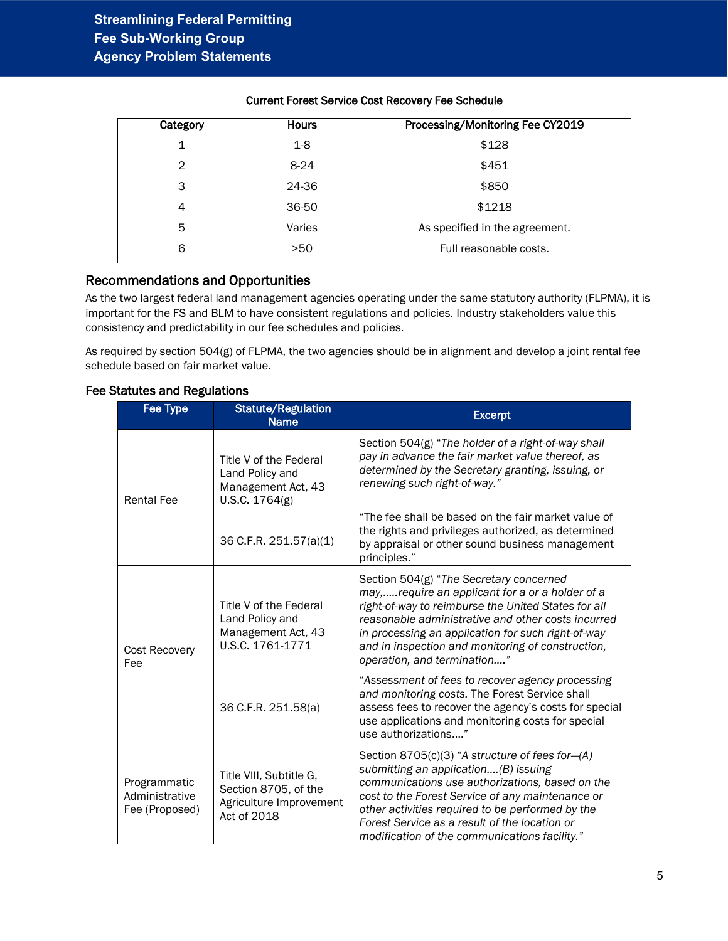| Category | <b>Hours</b> | Processing/Monitoring Fee CY2019 |
|----------|--------------|----------------------------------|
| 1        | $1-8$        | \$128                            |
| 2        | $8-24$       | \$451                            |
| 3        | 24-36        | \$850                            |
| 4        | 36-50        | \$1218                           |
| 5        | Varies       | As specified in the agreement.   |
| 6        | >50          | Full reasonable costs.           |
|          |              |                                  |

#### Current Forest Service Cost Recovery Fee Schedule

#### Recommendations and Opportunities

As the two largest federal land management agencies operating under the same statutory authority (FLPMA), it is important for the FS and BLM to have consistent regulations and policies. Industry stakeholders value this consistency and predictability in our fee schedules and policies.

As required by section 504(g) of FLPMA, the two agencies should be in alignment and develop a joint rental fee schedule based on fair market value.

<span id="page-4-0"></span>

| Fee Type                                         | <b>Statute/Regulation</b><br><b>Name</b>                                                  | <b>Excerpt</b>                                                                                                                                                                                                                                                                                                                                       |
|--------------------------------------------------|-------------------------------------------------------------------------------------------|------------------------------------------------------------------------------------------------------------------------------------------------------------------------------------------------------------------------------------------------------------------------------------------------------------------------------------------------------|
| <b>Rental Fee</b>                                | Title V of the Federal<br>Land Policy and<br>Management Act, 43<br>U.S.C. 1764(g)         | Section 504(g) "The holder of a right-of-way shall<br>pay in advance the fair market value thereof, as<br>determined by the Secretary granting, issuing, or<br>renewing such right-of-way."                                                                                                                                                          |
|                                                  | 36 C.F.R. 251.57(a)(1)                                                                    | "The fee shall be based on the fair market value of<br>the rights and privileges authorized, as determined<br>by appraisal or other sound business management<br>principles."                                                                                                                                                                        |
| <b>Cost Recovery</b><br>Fee                      | Title V of the Federal<br>Land Policy and<br>Management Act, 43<br>U.S.C. 1761-1771       | Section 504(g) "The Secretary concerned<br>may,require an applicant for a or a holder of a<br>right-of-way to reimburse the United States for all<br>reasonable administrative and other costs incurred<br>in processing an application for such right-of-way<br>and in inspection and monitoring of construction,<br>operation, and termination"    |
|                                                  | 36 C.F.R. 251.58(a)                                                                       | "Assessment of fees to recover agency processing<br>and monitoring costs. The Forest Service shall<br>assess fees to recover the agency's costs for special<br>use applications and monitoring costs for special<br>use authorizations"                                                                                                              |
| Programmatic<br>Administrative<br>Fee (Proposed) | Title VIII, Subtitle G,<br>Section 8705, of the<br>Agriculture Improvement<br>Act of 2018 | Section 8705(c)(3) "A structure of fees for-(A)<br>submitting an application(B) issuing<br>communications use authorizations, based on the<br>cost to the Forest Service of any maintenance or<br>other activities required to be performed by the<br>Forest Service as a result of the location or<br>modification of the communications facility." |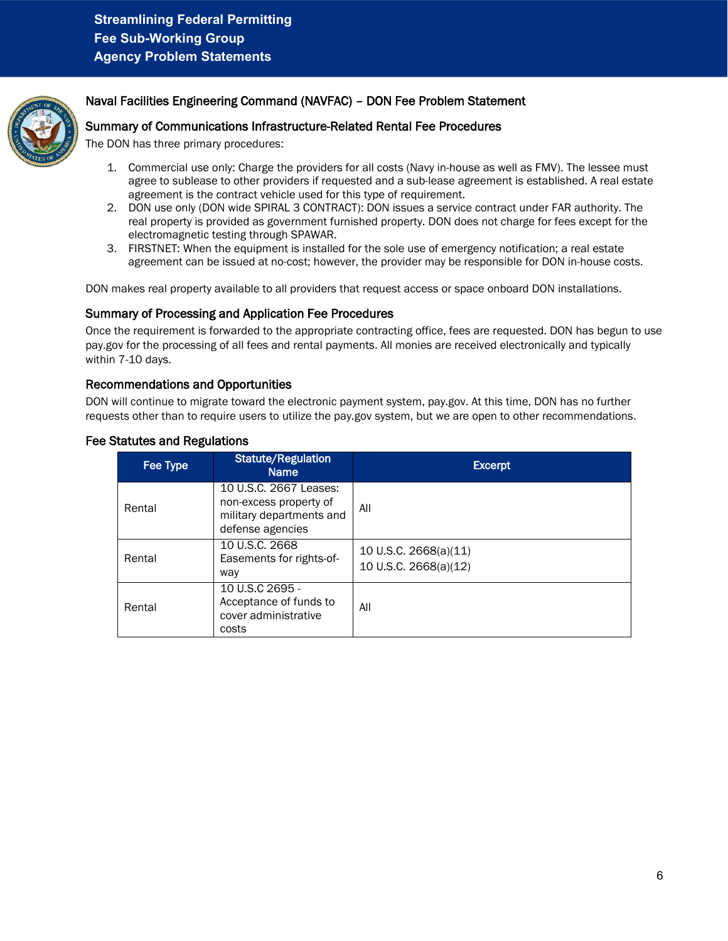

### Naval Facilities Engineering Command (NAVFAC) – DON Fee Problem Statement

#### Summary of Communications Infrastructure-Related Rental Fee Procedures

The DON has three primary procedures:

- 1. Commercial use only: Charge the providers for all costs (Navy in-house as well as FMV). The lessee must agree to sublease to other providers if requested and a sub-lease agreement is established. A real estate agreement is the contract vehicle used for this type of requirement.
- 2. DON use only (DON wide SPIRAL 3 CONTRACT): DON issues a service contract under FAR authority. The real property is provided as government furnished property. DON does not charge for fees except for the electromagnetic testing through SPAWAR.
- 3. FIRSTNET: When the equipment is installed for the sole use of emergency notification; a real estate agreement can be issued at no-cost; however, the provider may be responsible for DON in-house costs.

DON makes real property available to all providers that request access or space onboard DON installations.

#### Summary of Processing and Application Fee Procedures

Once the requirement is forwarded to the appropriate contracting office, fees are requested. DON has begun to use pay.gov for the processing of all fees and rental payments. All monies are received electronically and typically within 7-10 days.

#### Recommendations and Opportunities

DON will continue to migrate toward the electronic payment system, pay.gov. At this time, DON has no further requests other than to require users to utilize the pay.gov system, but we are open to other recommendations.

| Fee Type | <b>Statute/Regulation</b><br><b>Name</b>                                                         | <b>Excerpt</b>                                 |
|----------|--------------------------------------------------------------------------------------------------|------------------------------------------------|
| Rental   | 10 U.S.C. 2667 Leases:<br>non-excess property of<br>military departments and<br>defense agencies | All                                            |
| Rental   | 10 U.S.C. 2668<br>Easements for rights-of-<br>way                                                | 10 U.S.C. 2668(a)(11)<br>10 U.S.C. 2668(a)(12) |
| Rental   | 10 U.S.C 2695 -<br>Acceptance of funds to<br>cover administrative<br>costs                       | All                                            |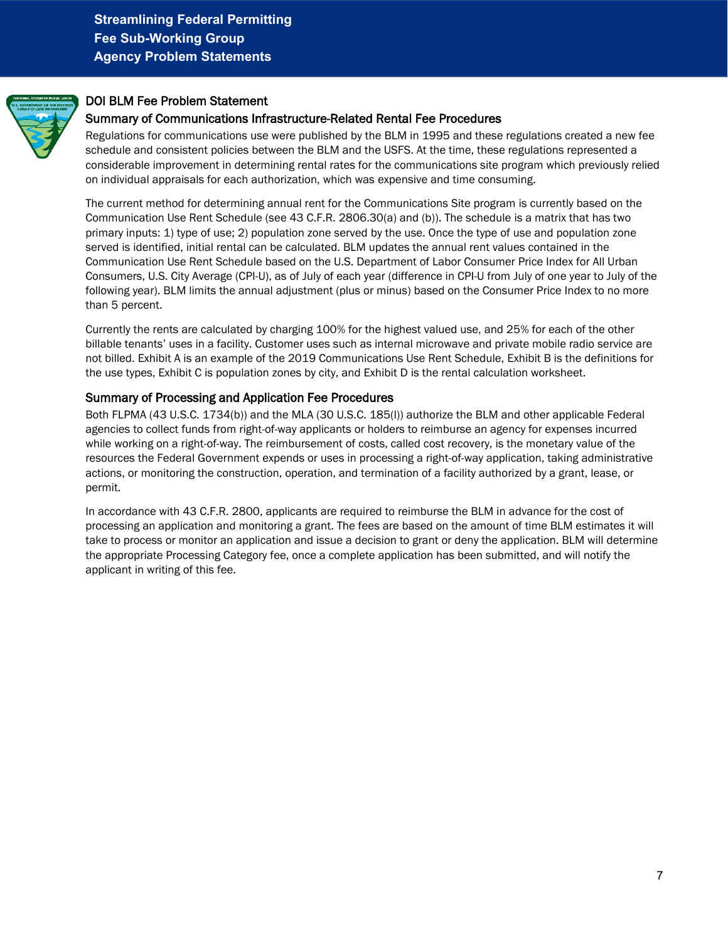<span id="page-6-0"></span>

### DOI BLM Fee Problem Statement

#### Summary of Communications Infrastructure-Related Rental Fee Procedures

Regulations for communications use were published by the BLM in 1995 and these regulations created a new fee schedule and consistent policies between the BLM and the USFS. At the time, these regulations represented a considerable improvement in determining rental rates for the communications site program which previously relied on individual appraisals for each authorization, which was expensive and time consuming.

The current method for determining annual rent for the Communications Site program is currently based on the Communication Use Rent Schedule (see 43 C.F.R. 2806.30(a) and (b)). The schedule is a matrix that has two primary inputs: 1) type of use; 2) population zone served by the use. Once the type of use and population zone served is identified, initial rental can be calculated. BLM updates the annual rent values contained in the Communication Use Rent Schedule based on the U.S. Department of Labor Consumer Price Index for All Urban Consumers, U.S. City Average (CPI-U), as of July of each year (difference in CPI-U from July of one year to July of the following year). BLM limits the annual adjustment (plus or minus) based on the Consumer Price Index to no more than 5 percent.

Currently the rents are calculated by charging 100% for the highest valued use, and 25% for each of the other billable tenants' uses in a facility. Customer uses such as internal microwave and private mobile radio service are not billed. Exhibit A is an example of the 2019 Communications Use Rent Schedule, Exhibit B is the definitions for the use types, Exhibit C is population zones by city, and Exhibit D is the rental calculation worksheet.

#### Summary of Processing and Application Fee Procedures

Both FLPMA (43 U.S.C. 1734(b)) and the MLA (30 U.S.C. 185(l)) authorize the BLM and other applicable Federal agencies to collect funds from right-of-way applicants or holders to reimburse an agency for expenses incurred while working on a right-of-way. The reimbursement of costs, called cost recovery, is the monetary value of the resources the Federal Government expends or uses in processing a right-of-way application, taking administrative actions, or monitoring the construction, operation, and termination of a facility authorized by a grant, lease, or permit.

In accordance with 43 C.F.R. 2800, applicants are required to reimburse the BLM in advance for the cost of processing an application and monitoring a grant. The fees are based on the amount of time BLM estimates it will take to process or monitor an application and issue a decision to grant or deny the application. BLM will determine the appropriate Processing Category fee, once a complete application has been submitted, and will notify the applicant in writing of this fee.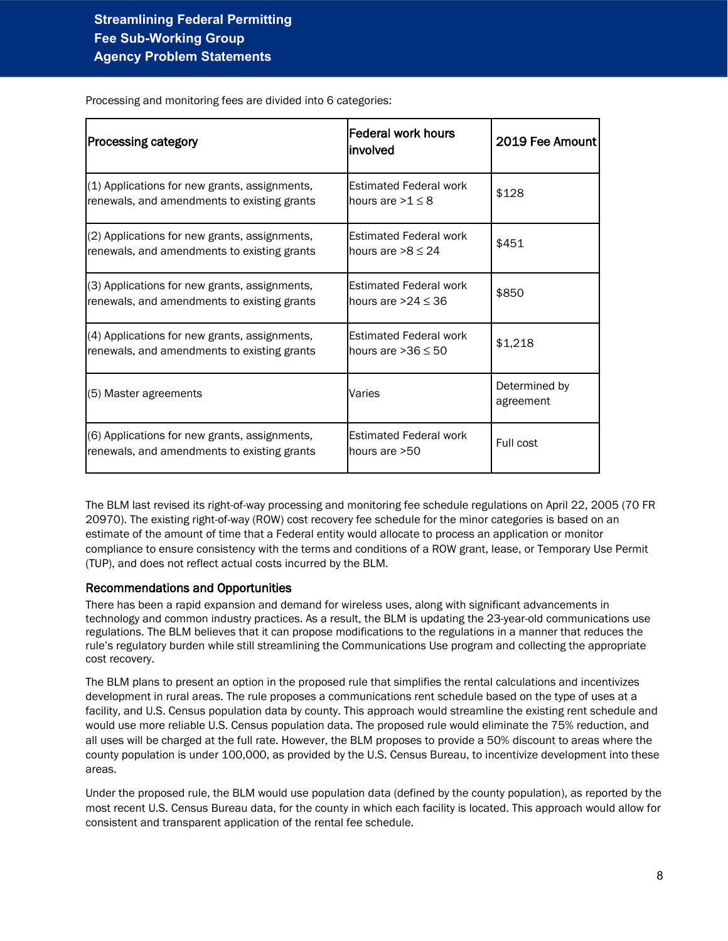| <b>Processing category</b>                                                                   | <b>Federal work hours</b><br>linvolved                   | 2019 Fee Amount            |
|----------------------------------------------------------------------------------------------|----------------------------------------------------------|----------------------------|
| (1) Applications for new grants, assignments,<br>renewals, and amendments to existing grants | <b>Estimated Federal work</b><br>hours are $>1 \leq 8$   | \$128                      |
| (2) Applications for new grants, assignments,<br>renewals, and amendments to existing grants | Estimated Federal work<br>hours are $>8 \leq 24$         | \$451                      |
| (3) Applications for new grants, assignments,<br>renewals, and amendments to existing grants | <b>Estimated Federal work</b><br>hours are $>24 \leq 36$ | \$850                      |
| (4) Applications for new grants, assignments,<br>renewals, and amendments to existing grants | <b>Estimated Federal work</b><br>hours are $>36 \leq 50$ | \$1,218                    |
| (5) Master agreements                                                                        | Varies                                                   | Determined by<br>agreement |
| (6) Applications for new grants, assignments,<br>renewals, and amendments to existing grants | <b>Estimated Federal work</b><br>lhours are >50          | Full cost                  |

Processing and monitoring fees are divided into 6 categories:

The BLM last revised its right-of-way processing and monitoring fee schedule regulations on April 22, 2005 (70 FR 20970). The existing right-of-way (ROW) cost recovery fee schedule for the minor categories is based on an estimate of the amount of time that a Federal entity would allocate to process an application or monitor compliance to ensure consistency with the terms and conditions of a ROW grant, lease, or Temporary Use Permit (TUP), and does not reflect actual costs incurred by the BLM.

#### Recommendations and Opportunities

There has been a rapid expansion and demand for wireless uses, along with significant advancements in technology and common industry practices. As a result, the BLM is updating the 23-year-old communications use regulations. The BLM believes that it can propose modifications to the regulations in a manner that reduces the rule's regulatory burden while still streamlining the Communications Use program and collecting the appropriate cost recovery.

The BLM plans to present an option in the proposed rule that simplifies the rental calculations and incentivizes development in rural areas. The rule proposes a communications rent schedule based on the type of uses at a facility, and U.S. Census population data by county. This approach would streamline the existing rent schedule and would use more reliable U.S. Census population data. The proposed rule would eliminate the 75% reduction, and all uses will be charged at the full rate. However, the BLM proposes to provide a 50% discount to areas where the county population is under 100,000, as provided by the U.S. Census Bureau, to incentivize development into these areas.

Under the proposed rule, the BLM would use population data (defined by the county population), as reported by the most recent U.S. Census Bureau data, for the county in which each facility is located. This approach would allow for consistent and transparent application of the rental fee schedule.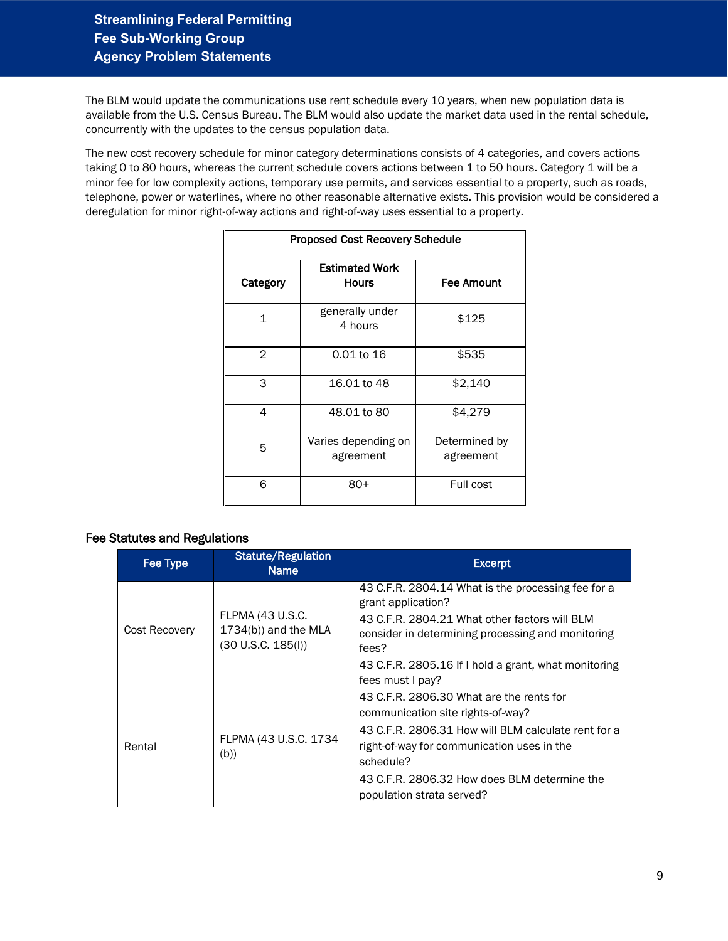The BLM would update the communications use rent schedule every 10 years, when new population data is available from the U.S. Census Bureau. The BLM would also update the market data used in the rental schedule, concurrently with the updates to the census population data.

The new cost recovery schedule for minor category determinations consists of 4 categories, and covers actions taking 0 to 80 hours, whereas the current schedule covers actions between 1 to 50 hours. Category 1 will be a minor fee for low complexity actions, temporary use permits, and services essential to a property, such as roads, telephone, power or waterlines, where no other reasonable alternative exists. This provision would be considered a deregulation for minor right-of-way actions and right-of-way uses essential to a property.

| <b>Proposed Cost Recovery Schedule</b> |                                  |                            |  |  |  |
|----------------------------------------|----------------------------------|----------------------------|--|--|--|
| Category                               | Estimated Work<br><b>Hours</b>   | <b>Fee Amount</b>          |  |  |  |
| $\mathbf{1}$                           | generally under<br>4 hours       | \$125                      |  |  |  |
| $\overline{2}$                         | 0.01 to 16                       | \$535                      |  |  |  |
| 3                                      | 16.01 to 48                      | \$2,140                    |  |  |  |
| 4                                      | 48.01 to 80                      | \$4,279                    |  |  |  |
| 5                                      | Varies depending on<br>agreement | Determined by<br>agreement |  |  |  |
| 6                                      | 80+                              | Full cost                  |  |  |  |

| Fee Type      | <b>Statute/Regulation</b><br><b>Name</b>                                 | <b>Excerpt</b>                                                                                                                                                                                                                                                               |
|---------------|--------------------------------------------------------------------------|------------------------------------------------------------------------------------------------------------------------------------------------------------------------------------------------------------------------------------------------------------------------------|
| Cost Recovery | <b>FLPMA (43 U.S.C.</b><br>$1734(b)$ ) and the MLA<br>(30 U.S.C. 185(I)) | 43 C.F.R. 2804.14 What is the processing fee for a<br>grant application?<br>43 C.F.R. 2804.21 What other factors will BLM<br>consider in determining processing and monitoring<br>fees?<br>43 C.F.R. 2805.16 If I hold a grant, what monitoring<br>fees must I pay?          |
| Rental        | FLPMA (43 U.S.C. 1734<br>(b))                                            | 43 C.F.R. 2806.30 What are the rents for<br>communication site rights-of-way?<br>43 C.F.R. 2806.31 How will BLM calculate rent for a<br>right-of-way for communication uses in the<br>schedule?<br>43 C.F.R. 2806.32 How does BLM determine the<br>population strata served? |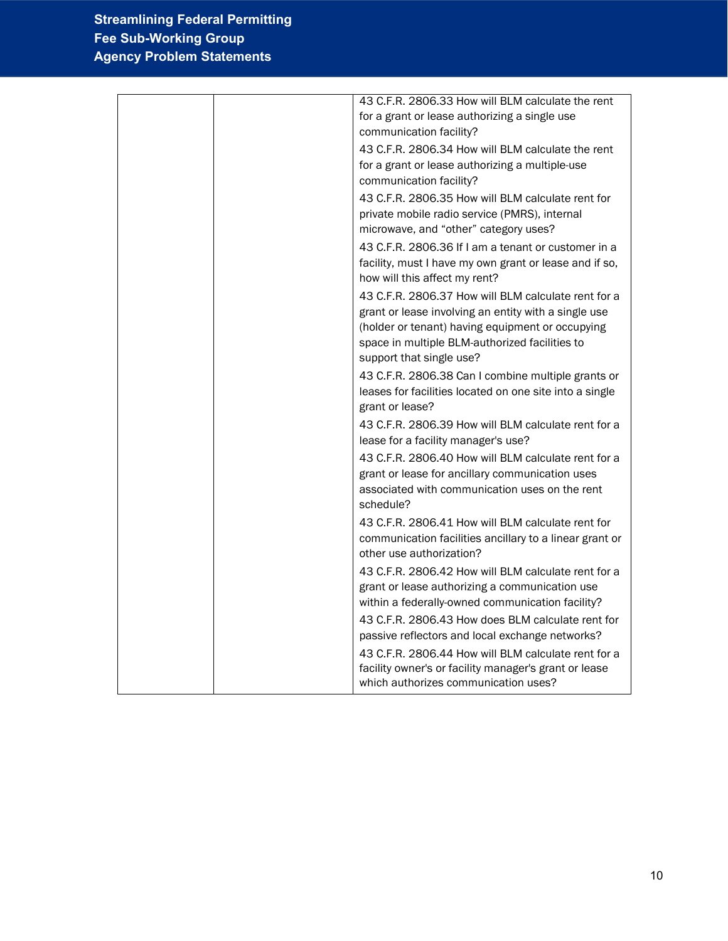| 43 C.F.R. 2806.33 How will BLM calculate the rent       |
|---------------------------------------------------------|
| for a grant or lease authorizing a single use           |
| communication facility?                                 |
| 43 C.F.R. 2806.34 How will BLM calculate the rent       |
| for a grant or lease authorizing a multiple-use         |
| communication facility?                                 |
| 43 C.F.R. 2806.35 How will BLM calculate rent for       |
| private mobile radio service (PMRS), internal           |
| microwave, and "other" category uses?                   |
| 43 C.F.R. 2806.36 If I am a tenant or customer in a     |
| facility, must I have my own grant or lease and if so,  |
| how will this affect my rent?                           |
| 43 C.F.R. 2806.37 How will BLM calculate rent for a     |
| grant or lease involving an entity with a single use    |
| (holder or tenant) having equipment or occupying        |
| space in multiple BLM-authorized facilities to          |
| support that single use?                                |
| 43 C.F.R. 2806.38 Can I combine multiple grants or      |
| leases for facilities located on one site into a single |
| grant or lease?                                         |
| 43 C.F.R. 2806.39 How will BLM calculate rent for a     |
| lease for a facility manager's use?                     |
| 43 C.F.R. 2806.40 How will BLM calculate rent for a     |
| grant or lease for ancillary communication uses         |
| associated with communication uses on the rent          |
| schedule?                                               |
| 43 C.F.R. 2806.41 How will BLM calculate rent for       |
| communication facilities ancillary to a linear grant or |
| other use authorization?                                |
| 43 C.F.R. 2806.42 How will BLM calculate rent for a     |
| grant or lease authorizing a communication use          |
| within a federally-owned communication facility?        |
| 43 C.F.R. 2806.43 How does BLM calculate rent for       |
| passive reflectors and local exchange networks?         |
| 43 C.F.R. 2806.44 How will BLM calculate rent for a     |
| facility owner's or facility manager's grant or lease   |
| which authorizes communication uses?                    |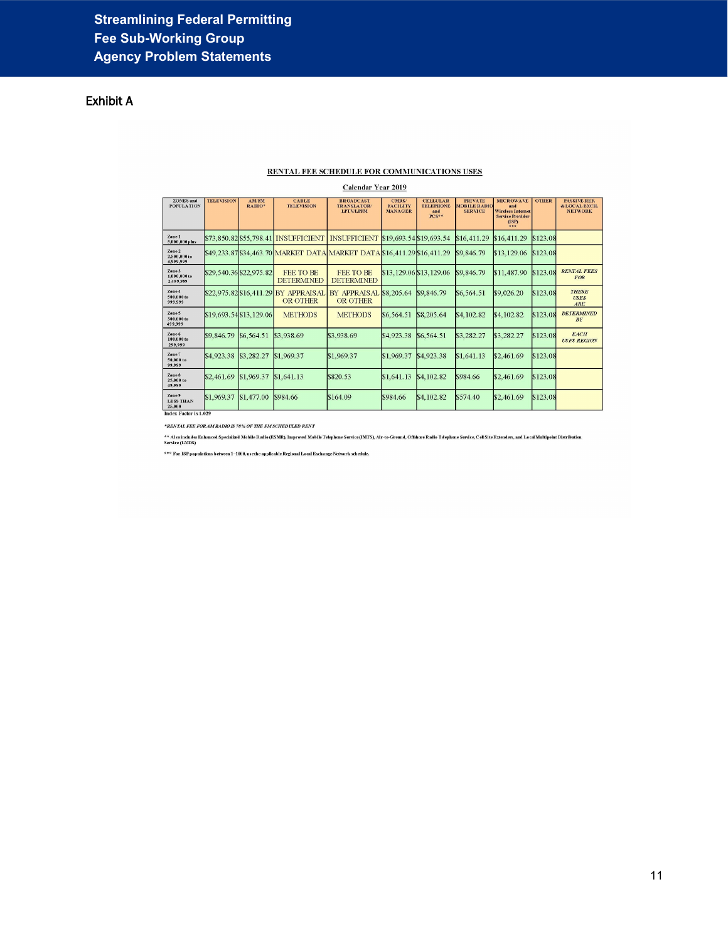# Exhibit A

#### RENTAL FEE SCHEDULE FOR COMMUNICATIONS USES

#### Calendar Year 2019

| <b>ZONES</b> and<br><b>POPULATION</b> | <b>TELEVISION</b>      | <b>AM/FM</b><br>RADIO*  | <b>CABLE</b><br><b>TELEVISION</b>               | <b>BROADCAST</b><br>TRANSLATOR/<br><b>LPTV/LPFM</b>                       | CMRS/<br><b>FACILITY</b><br><b>MANAGER</b> | <b>CELLULAR</b><br><b>TELEPHONE</b><br>and<br>PCS** | <b>PRIVATE</b><br><b>MOBILE RADIO</b><br><b>SERVICE</b> | <b>MICROWAVE</b><br>and<br><b>Wireless Internet</b><br><b>Service Provider</b><br>(ISP)<br>288 | <b>OTHER</b> | PASSIVE REF.<br>& LOCAL EXCH.<br><b>NETWORK</b> |
|---------------------------------------|------------------------|-------------------------|-------------------------------------------------|---------------------------------------------------------------------------|--------------------------------------------|-----------------------------------------------------|---------------------------------------------------------|------------------------------------------------------------------------------------------------|--------------|-------------------------------------------------|
| Zone 1<br>5,000,000 plus              |                        |                         |                                                 | \$73,850.82 \$55,798.41 INSUFFICIENT INSUFFICIENT \$19,693.54 \$19,693.54 |                                            |                                                     | \$16,411.29                                             | \$16,411.29                                                                                    | \$123.08     |                                                 |
| Zone 2<br>2,500,000 to<br>4,999,999   |                        |                         |                                                 | \$49,233.87 \$34,463.70 MARKET DATA MARKET DATA \$16,411.29 \$16,411.29   |                                            |                                                     | \$9,846.79                                              | \$13,129.06                                                                                    | \$123.08     |                                                 |
| Zone 3<br>1,000,000 to<br>2,499,999   |                        | \$29,540.36 \$22,975.82 | <b>FEE TO BE</b><br><b>DETERMINED</b>           | FEE TO BE<br><b>DETERMINED</b>                                            |                                            | \$13,129.06 \$13,129.06                             | \$9,846.79                                              | \$11,487.90                                                                                    | \$123.08     | <b>RENTAL FEES</b><br><b>FOR</b>                |
| Zone 4<br>500,000 to<br>999.999       |                        |                         | S22.975.82 \$16.411.29 BY APPRAISAL<br>OR OTHER | BY APPRAISAL \$8,205.64<br>OR OTHER                                       |                                            | \$9,846.79                                          | \$6,564.51                                              | \$9,026.20                                                                                     | \$123.08     | <b>THESE</b><br><b>USES</b><br>ARE              |
| Zone 5<br>300,000 to<br>499,999       |                        | \$19,693.54 \$13,129.06 | <b>METHODS</b>                                  | <b>METHODS</b>                                                            | \$6,564.51                                 | \$8,205.64                                          | \$4,102.82                                              | S4, 102.82                                                                                     | \$123.08     | <b>DETERMINED</b><br>BY                         |
| Zone 6<br>100,000 to<br>299,999       | S <sub>9</sub> .846.79 | \$6,564.51              | \$3,938.69                                      | \$3,938.69                                                                | \$4,923.38                                 | \$6,564.51                                          | \$3,282.27                                              | \$3,282.27                                                                                     | \$123.08     | <b>EACH</b><br><b>USFS REGION</b>               |
| Zone 7<br>50,000 to<br>99.999         | <b>S4.923.38</b>       | \$3,282.27              | \$1,969.37                                      | \$1,969.37                                                                | \$1,969.37                                 | \$4,923.38                                          | \$1,641.13                                              | \$2,461.69                                                                                     | \$123.08     |                                                 |
| Zone 8<br>25,000 to<br>49.999         | \$2,461.69             | \$1,969.37              | \$1,641.13                                      | \$820.53                                                                  | \$1,641.13                                 | \$4,102.82                                          | \$984.66                                                | \$2,461.69                                                                                     | \$123.08     |                                                 |
| Zone 9<br><b>LESS THAN</b><br>25,000  | \$1,969.37             | \$1,477.00              | \$984.66                                        | \$164.09                                                                  | \$984.66                                   | \$4,102.82                                          | \$574.40                                                | \$2,461.69                                                                                     | \$123.08     |                                                 |
| Index Factor is 1.029                 |                        |                         |                                                 |                                                                           |                                            |                                                     |                                                         |                                                                                                |              |                                                 |

 $^\star \! RENTAL$  FEE FOR AM RADIO IS 70% OF THE FM SCHEDULED RENT

\*\* Also includes Enhanced Specialized Mobile Radio (ESMR), Improved Mobile Telephone Scritce(IMTS), Air-to-Ground, Offshore Radio Telephone Service, Cell Site Extenders, and Local Multipolnt Distribution<br>Service (LADS)

\*\*\* For ISP populations between 1–1000, usethe applicable Regional Local Exchange Network schedule.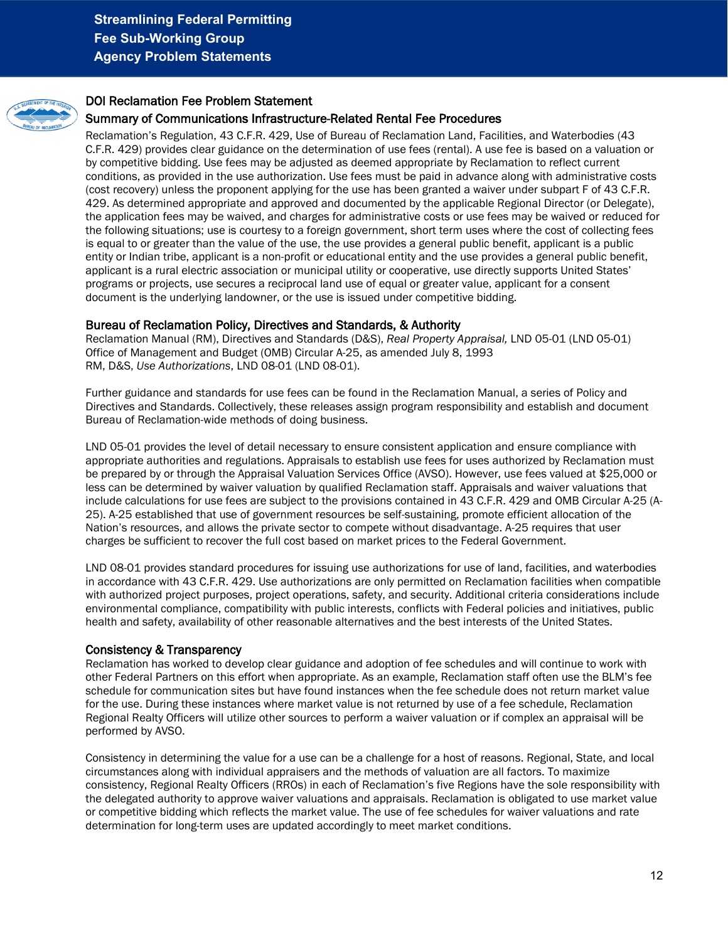<span id="page-11-0"></span>

### DOI Reclamation Fee Problem Statement

#### Summary of Communications Infrastructure-Related Rental Fee Procedures

Reclamation's Regulation, 43 C.F.R. 429, Use of Bureau of Reclamation Land, Facilities, and Waterbodies (43 C.F.R. 429) provides clear guidance on the determination of use fees (rental). A use fee is based on a valuation or by competitive bidding. Use fees may be adjusted as deemed appropriate by Reclamation to reflect current conditions, as provided in the use authorization. Use fees must be paid in advance along with administrative costs (cost recovery) unless the proponent applying for the use has been granted a waiver under subpart F of 43 C.F.R. 429. As determined appropriate and approved and documented by the applicable Regional Director (or Delegate), the application fees may be waived, and charges for administrative costs or use fees may be waived or reduced for the following situations; use is courtesy to a foreign government, short term uses where the cost of collecting fees is equal to or greater than the value of the use, the use provides a general public benefit, applicant is a public entity or Indian tribe, applicant is a non-profit or educational entity and the use provides a general public benefit, applicant is a rural electric association or municipal utility or cooperative, use directly supports United States' programs or projects, use secures a reciprocal land use of equal or greater value, applicant for a consent document is the underlying landowner, or the use is issued under competitive bidding.

#### Bureau of Reclamation Policy, Directives and Standards, & Authority

Reclamation Manual (RM), Directives and Standards (D&S), *Real Property Appraisal,* LND 05-01 (LND 05-01) Office of Management and Budget (OMB) Circular A-25, as amended July 8, 1993 RM, D&S, *Use Authorizations*, LND 08-01 (LND 08-01).

Further guidance and standards for use fees can be found in the Reclamation Manual, a series of Policy and Directives and Standards. Collectively, these releases assign program responsibility and establish and document Bureau of Reclamation-wide methods of doing business.

LND 05-01 provides the level of detail necessary to ensure consistent application and ensure compliance with appropriate authorities and regulations. Appraisals to establish use fees for uses authorized by Reclamation must be prepared by or through the Appraisal Valuation Services Office (AVSO). However, use fees valued at \$25,000 or less can be determined by waiver valuation by qualified Reclamation staff. Appraisals and waiver valuations that include calculations for use fees are subject to the provisions contained in 43 C.F.R. 429 and OMB Circular A-25 (A-25). A-25 established that use of government resources be self-sustaining, promote efficient allocation of the Nation's resources, and allows the private sector to compete without disadvantage. A-25 requires that user charges be sufficient to recover the full cost based on market prices to the Federal Government.

LND 08-01 provides standard procedures for issuing use authorizations for use of land, facilities, and waterbodies in accordance with 43 C.F.R. 429. Use authorizations are only permitted on Reclamation facilities when compatible with authorized project purposes, project operations, safety, and security. Additional criteria considerations include environmental compliance, compatibility with public interests, conflicts with Federal policies and initiatives, public health and safety, availability of other reasonable alternatives and the best interests of the United States.

#### Consistency & Transparency

Reclamation has worked to develop clear guidance and adoption of fee schedules and will continue to work with other Federal Partners on this effort when appropriate. As an example, Reclamation staff often use the BLM's fee schedule for communication sites but have found instances when the fee schedule does not return market value for the use. During these instances where market value is not returned by use of a fee schedule, Reclamation Regional Realty Officers will utilize other sources to perform a waiver valuation or if complex an appraisal will be performed by AVSO.

Consistency in determining the value for a use can be a challenge for a host of reasons. Regional, State, and local circumstances along with individual appraisers and the methods of valuation are all factors. To maximize consistency, Regional Realty Officers (RROs) in each of Reclamation's five Regions have the sole responsibility with the delegated authority to approve waiver valuations and appraisals. Reclamation is obligated to use market value or competitive bidding which reflects the market value. The use of fee schedules for waiver valuations and rate determination for long-term uses are updated accordingly to meet market conditions.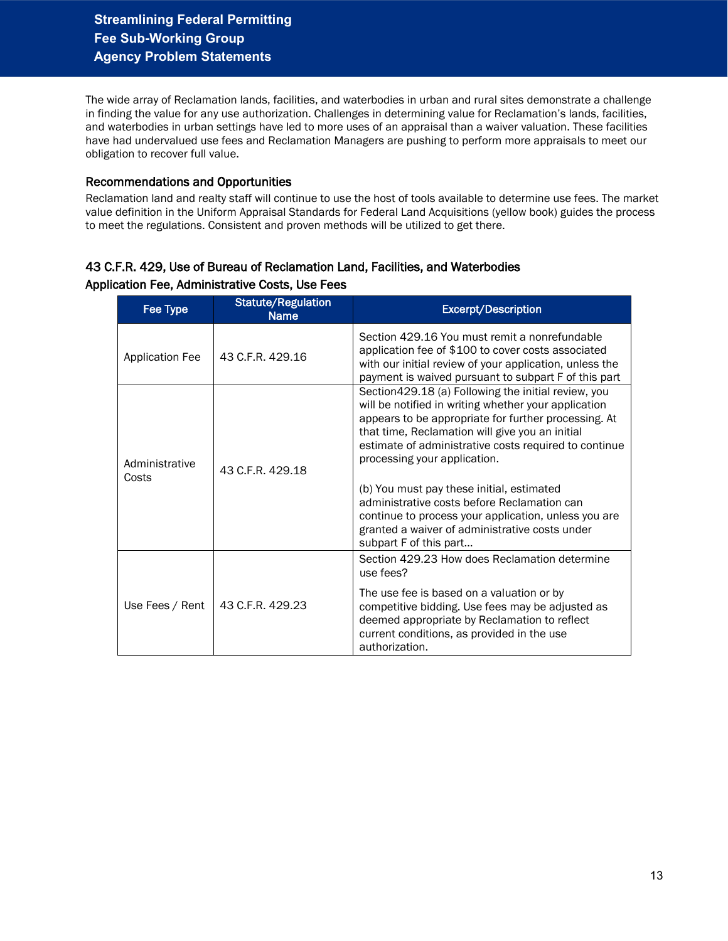The wide array of Reclamation lands, facilities, and waterbodies in urban and rural sites demonstrate a challenge in finding the value for any use authorization. Challenges in determining value for Reclamation's lands, facilities, and waterbodies in urban settings have led to more uses of an appraisal than a waiver valuation. These facilities have had undervalued use fees and Reclamation Managers are pushing to perform more appraisals to meet our obligation to recover full value.

#### Recommendations and Opportunities

Reclamation land and realty staff will continue to use the host of tools available to determine use fees. The market value definition in the Uniform Appraisal Standards for Federal Land Acquisitions (yellow book) guides the process to meet the regulations. Consistent and proven methods will be utilized to get there.

## 43 C.F.R. 429, Use of Bureau of Reclamation Land, Facilities, and Waterbodies Application Fee, Administrative Costs, Use Fees

| Fee Type                | <b>Statute/Regulation</b><br><b>Name</b> | <b>Excerpt/Description</b>                                                                                                                                                                                                                                                                                                                                                                                                                                           |
|-------------------------|------------------------------------------|----------------------------------------------------------------------------------------------------------------------------------------------------------------------------------------------------------------------------------------------------------------------------------------------------------------------------------------------------------------------------------------------------------------------------------------------------------------------|
| <b>Application Fee</b>  | 43 C.F.R. 429.16                         | Section 429.16 You must remit a nonrefundable<br>application fee of \$100 to cover costs associated<br>with our initial review of your application, unless the<br>payment is waived pursuant to subpart F of this part                                                                                                                                                                                                                                               |
| Administrative<br>Costs | 43 C.F.R. 429.18                         | Section 429.18 (a) Following the initial review, you<br>will be notified in writing whether your application<br>appears to be appropriate for further processing. At<br>that time, Reclamation will give you an initial<br>estimate of administrative costs required to continue<br>processing your application.<br>(b) You must pay these initial, estimated<br>administrative costs before Reclamation can<br>continue to process your application, unless you are |
|                         |                                          | granted a waiver of administrative costs under<br>subpart F of this part                                                                                                                                                                                                                                                                                                                                                                                             |
|                         |                                          | Section 429.23 How does Reclamation determine<br>use fees?                                                                                                                                                                                                                                                                                                                                                                                                           |
| Use Fees / Rent         | 43 C.F.R. 429.23                         | The use fee is based on a valuation or by<br>competitive bidding. Use fees may be adjusted as<br>deemed appropriate by Reclamation to reflect<br>current conditions, as provided in the use<br>authorization.                                                                                                                                                                                                                                                        |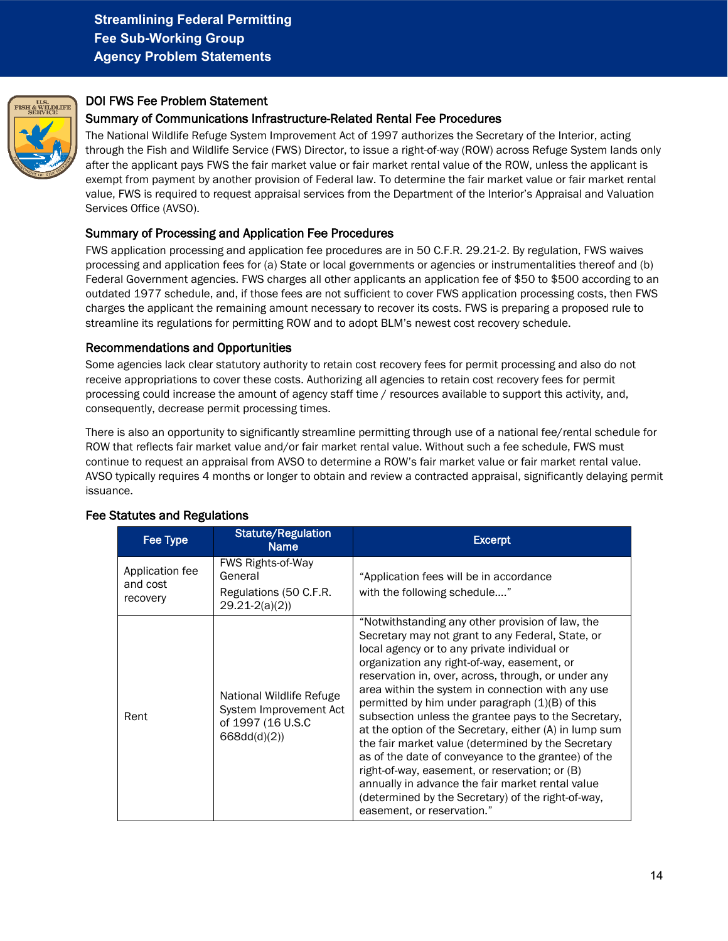<span id="page-13-0"></span>

## DOI FWS Fee Problem Statement

### Summary of Communications Infrastructure-Related Rental Fee Procedures

The National Wildlife Refuge System Improvement Act of 1997 authorizes the Secretary of the Interior, acting through the Fish and Wildlife Service (FWS) Director, to issue a right-of-way (ROW) across Refuge System lands only after the applicant pays FWS the fair market value or fair market rental value of the ROW, unless the applicant is exempt from payment by another provision of Federal law. To determine the fair market value or fair market rental value, FWS is required to request appraisal services from the Department of the Interior's Appraisal and Valuation Services Office (AVSO).

#### Summary of Processing and Application Fee Procedures

FWS application processing and application fee procedures are in 50 C.F.R. 29.21-2. By regulation, FWS waives processing and application fees for (a) State or local governments or agencies or instrumentalities thereof and (b) Federal Government agencies. FWS charges all other applicants an application fee of \$50 to \$500 according to an outdated 1977 schedule, and, if those fees are not sufficient to cover FWS application processing costs, then FWS charges the applicant the remaining amount necessary to recover its costs. FWS is preparing a proposed rule to streamline its regulations for permitting ROW and to adopt BLM's newest cost recovery schedule.

#### Recommendations and Opportunities

Some agencies lack clear statutory authority to retain cost recovery fees for permit processing and also do not receive appropriations to cover these costs. Authorizing all agencies to retain cost recovery fees for permit processing could increase the amount of agency staff time / resources available to support this activity, and, consequently, decrease permit processing times.

There is also an opportunity to significantly streamline permitting through use of a national fee/rental schedule for ROW that reflects fair market value and/or fair market rental value. Without such a fee schedule, FWS must continue to request an appraisal from AVSO to determine a ROW's fair market value or fair market rental value. AVSO typically requires 4 months or longer to obtain and review a contracted appraisal, significantly delaying permit issuance.

| Fee Type                                | <b>Statute/Regulation</b><br><b>Name</b>                                               | <b>Excerpt</b>                                                                                                                                                                                                                                                                                                                                                                                                                                                                                                                                                                                                                                                                                                                                                                                 |
|-----------------------------------------|----------------------------------------------------------------------------------------|------------------------------------------------------------------------------------------------------------------------------------------------------------------------------------------------------------------------------------------------------------------------------------------------------------------------------------------------------------------------------------------------------------------------------------------------------------------------------------------------------------------------------------------------------------------------------------------------------------------------------------------------------------------------------------------------------------------------------------------------------------------------------------------------|
| Application fee<br>and cost<br>recovery | <b>FWS Rights-of-Way</b><br>General<br>Regulations (50 C.F.R.<br>$29.21 - 2(a)(2)$     | "Application fees will be in accordance<br>with the following schedule"                                                                                                                                                                                                                                                                                                                                                                                                                                                                                                                                                                                                                                                                                                                        |
| Rent                                    | National Wildlife Refuge<br>System Improvement Act<br>of 1997 (16 U.S.C<br>668dd(d)(2) | "Notwithstanding any other provision of law, the<br>Secretary may not grant to any Federal, State, or<br>local agency or to any private individual or<br>organization any right-of-way, easement, or<br>reservation in, over, across, through, or under any<br>area within the system in connection with any use<br>permitted by him under paragraph $(1)(B)$ of this<br>subsection unless the grantee pays to the Secretary,<br>at the option of the Secretary, either (A) in lump sum<br>the fair market value (determined by the Secretary<br>as of the date of conveyance to the grantee) of the<br>right-of-way, easement, or reservation; or (B)<br>annually in advance the fair market rental value<br>(determined by the Secretary) of the right-of-way,<br>easement, or reservation." |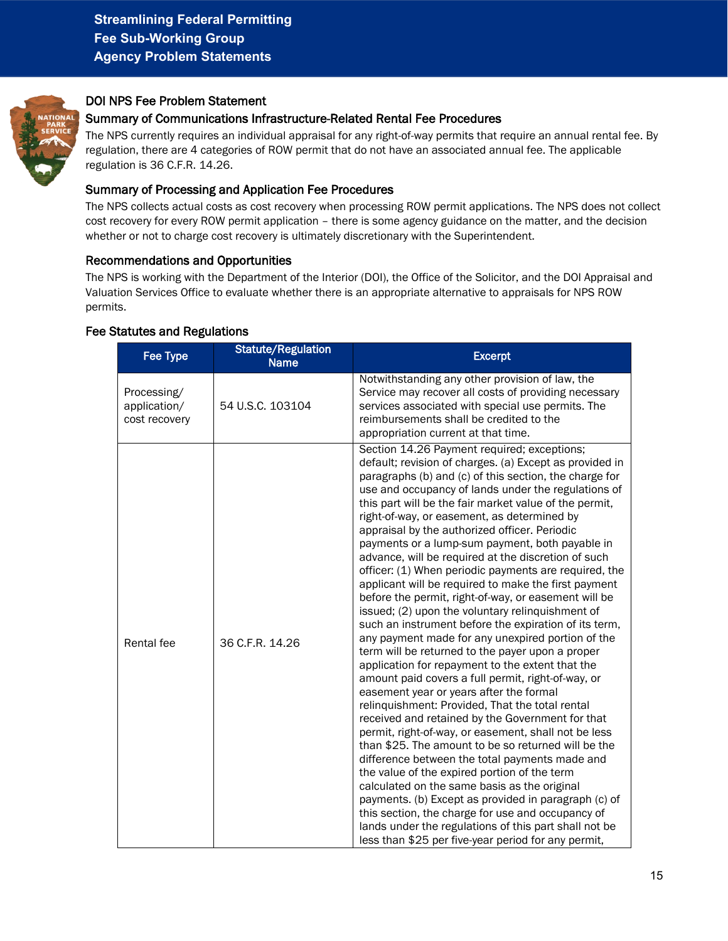<span id="page-14-0"></span>

## DOI NPS Fee Problem Statement

### Summary of Communications Infrastructure-Related Rental Fee Procedures

The NPS currently requires an individual appraisal for any right-of-way permits that require an annual rental fee. By regulation, there are 4 categories of ROW permit that do not have an associated annual fee. The applicable regulation is 36 C.F.R. 14.26.

#### Summary of Processing and Application Fee Procedures

The NPS collects actual costs as cost recovery when processing ROW permit applications. The NPS does not collect cost recovery for every ROW permit application – there is some agency guidance on the matter, and the decision whether or not to charge cost recovery is ultimately discretionary with the Superintendent.

#### Recommendations and Opportunities

The NPS is working with the Department of the Interior (DOI), the Office of the Solicitor, and the DOI Appraisal and Valuation Services Office to evaluate whether there is an appropriate alternative to appraisals for NPS ROW permits.

| <b>Fee Type</b>                              | <b>Statute/Regulation</b><br><b>Name</b> | <b>Excerpt</b>                                                                                                                                                                                                                                                                                                                                                                                                                                                                                                                                                                                                                                                                                                                                                                                                                                                                                                                                                                                                                                                                                                                                                                                                                                                                                                                                                                                                                                                                                                                                                                                                                                       |
|----------------------------------------------|------------------------------------------|------------------------------------------------------------------------------------------------------------------------------------------------------------------------------------------------------------------------------------------------------------------------------------------------------------------------------------------------------------------------------------------------------------------------------------------------------------------------------------------------------------------------------------------------------------------------------------------------------------------------------------------------------------------------------------------------------------------------------------------------------------------------------------------------------------------------------------------------------------------------------------------------------------------------------------------------------------------------------------------------------------------------------------------------------------------------------------------------------------------------------------------------------------------------------------------------------------------------------------------------------------------------------------------------------------------------------------------------------------------------------------------------------------------------------------------------------------------------------------------------------------------------------------------------------------------------------------------------------------------------------------------------------|
| Processing/<br>application/<br>cost recovery | 54 U.S.C. 103104                         | Notwithstanding any other provision of law, the<br>Service may recover all costs of providing necessary<br>services associated with special use permits. The<br>reimbursements shall be credited to the<br>appropriation current at that time.                                                                                                                                                                                                                                                                                                                                                                                                                                                                                                                                                                                                                                                                                                                                                                                                                                                                                                                                                                                                                                                                                                                                                                                                                                                                                                                                                                                                       |
| Rental fee                                   | 36 C.F.R. 14.26                          | Section 14.26 Payment required; exceptions;<br>default; revision of charges. (a) Except as provided in<br>paragraphs (b) and (c) of this section, the charge for<br>use and occupancy of lands under the regulations of<br>this part will be the fair market value of the permit,<br>right-of-way, or easement, as determined by<br>appraisal by the authorized officer. Periodic<br>payments or a lump-sum payment, both payable in<br>advance, will be required at the discretion of such<br>officer: (1) When periodic payments are required, the<br>applicant will be required to make the first payment<br>before the permit, right-of-way, or easement will be<br>issued; (2) upon the voluntary relinquishment of<br>such an instrument before the expiration of its term,<br>any payment made for any unexpired portion of the<br>term will be returned to the payer upon a proper<br>application for repayment to the extent that the<br>amount paid covers a full permit, right-of-way, or<br>easement year or years after the formal<br>relinquishment: Provided, That the total rental<br>received and retained by the Government for that<br>permit, right-of-way, or easement, shall not be less<br>than \$25. The amount to be so returned will be the<br>difference between the total payments made and<br>the value of the expired portion of the term<br>calculated on the same basis as the original<br>payments. (b) Except as provided in paragraph (c) of<br>this section, the charge for use and occupancy of<br>lands under the regulations of this part shall not be<br>less than \$25 per five-year period for any permit, |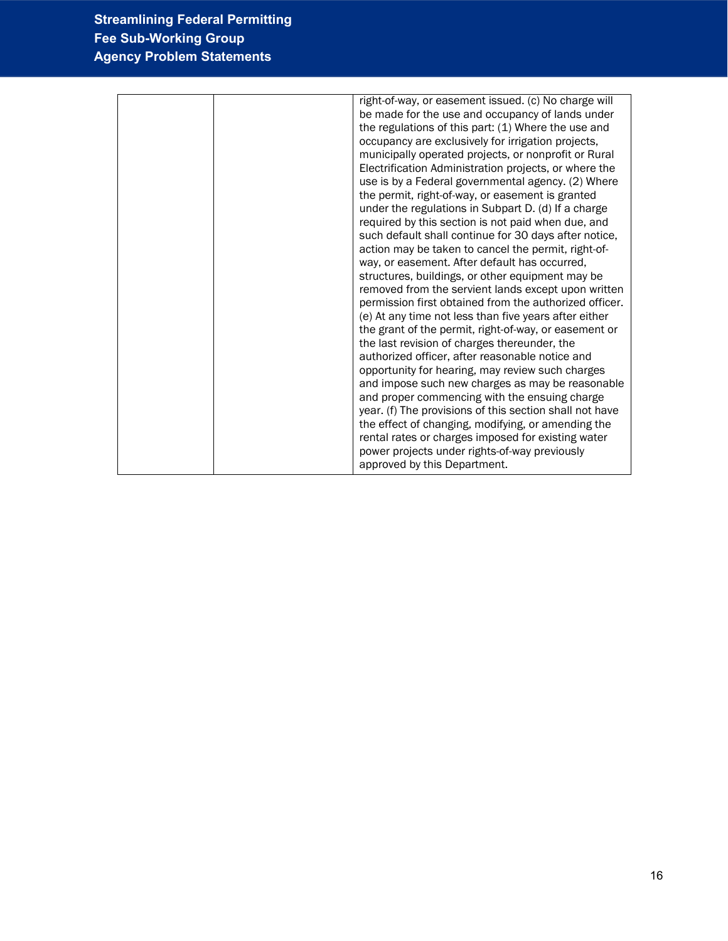| right-of-way, or easement issued. (c) No charge will    |
|---------------------------------------------------------|
| be made for the use and occupancy of lands under        |
| the regulations of this part: (1) Where the use and     |
|                                                         |
| occupancy are exclusively for irrigation projects,      |
| municipally operated projects, or nonprofit or Rural    |
| Electrification Administration projects, or where the   |
| use is by a Federal governmental agency. (2) Where      |
| the permit, right-of-way, or easement is granted        |
| under the regulations in Subpart D. (d) If a charge     |
| required by this section is not paid when due, and      |
| such default shall continue for 30 days after notice,   |
| action may be taken to cancel the permit, right-of-     |
| way, or easement. After default has occurred,           |
| structures, buildings, or other equipment may be        |
| removed from the servient lands except upon written     |
| permission first obtained from the authorized officer.  |
| (e) At any time not less than five years after either   |
| the grant of the permit, right-of-way, or easement or   |
| the last revision of charges thereunder, the            |
| authorized officer, after reasonable notice and         |
| opportunity for hearing, may review such charges        |
| and impose such new charges as may be reasonable        |
|                                                         |
| and proper commencing with the ensuing charge           |
| year. (f) The provisions of this section shall not have |
| the effect of changing, modifying, or amending the      |
| rental rates or charges imposed for existing water      |
| power projects under rights-of-way previously           |
| approved by this Department.                            |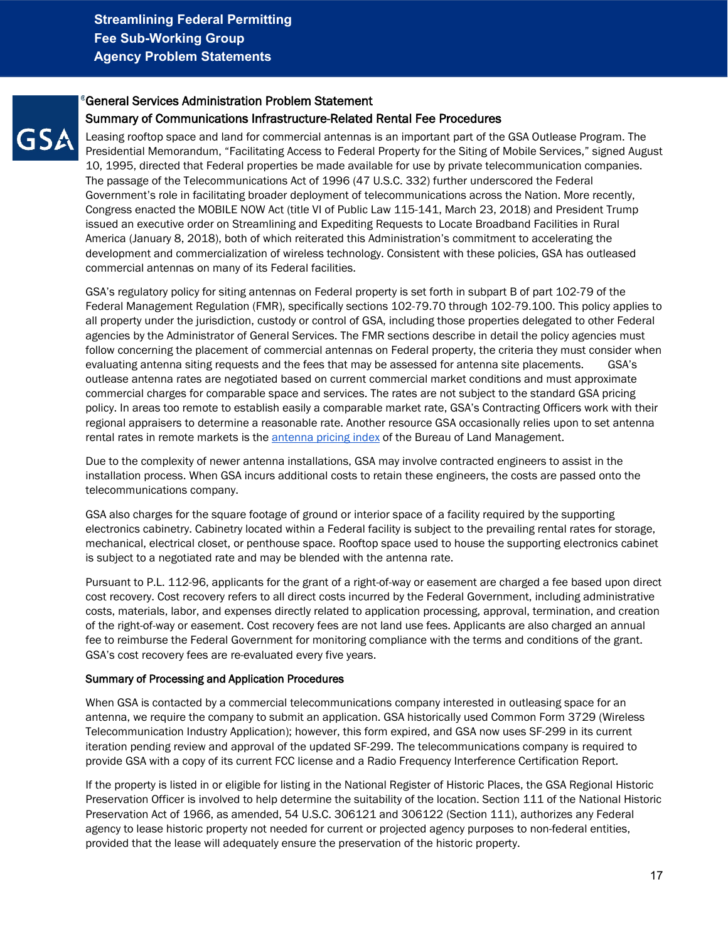# <span id="page-16-0"></span>General Services Administration Problem Statement

## Summary of Communications Infrastructure-Related Rental Fee Procedures

Leasing rooftop space and land for commercial antennas is an important part of the GSA Outlease Program. The Presidential Memorandum, "Facilitating Access to Federal Property for the Siting of Mobile Services," signed August 10, 1995, directed that Federal properties be made available for use by private telecommunication companies. The passage of the Telecommunications Act of 1996 (47 U.S.C. 332) further underscored the Federal Government's role in facilitating broader deployment of telecommunications across the Nation. More recently, Congress enacted the MOBILE NOW Act (title VI of Public Law 115-141, March 23, 2018) and President Trump issued an executive order on Streamlining and Expediting Requests to Locate Broadband Facilities in Rural America (January 8, 2018), both of which reiterated this Administration's commitment to accelerating the development and commercialization of wireless technology. Consistent with these policies, GSA has outleased commercial antennas on many of its Federal facilities.

GSA's regulatory policy for siting antennas on Federal property is set forth in subpart B of part 102-79 of the Federal Management Regulation (FMR), specifically sections 102-79.70 through 102-79.100. This policy applies to all property under the jurisdiction, custody or control of GSA, including those properties delegated to other Federal agencies by the Administrator of General Services. The FMR sections describe in detail the policy agencies must follow concerning the placement of commercial antennas on Federal property, the criteria they must consider when evaluating antenna siting requests and the fees that may be assessed for antenna site placements. GSA's outlease antenna rates are negotiated based on current commercial market conditions and must approximate commercial charges for comparable space and services. The rates are not subject to the standard GSA pricing policy. In areas too remote to establish easily a comparable market rate, GSA's Contracting Officers work with their regional appraisers to determine a reasonable rate. Another resource GSA occasionally relies upon to set antenna rental rates in remote markets is the **antenna pricing index** of the Bureau of Land Management.

Due to the complexity of newer antenna installations, GSA may involve contracted engineers to assist in the installation process. When GSA incurs additional costs to retain these engineers, the costs are passed onto the telecommunications company.

GSA also charges for the square footage of ground or interior space of a facility required by the supporting electronics cabinetry. Cabinetry located within a Federal facility is subject to the prevailing rental rates for storage, mechanical, electrical closet, or penthouse space. Rooftop space used to house the supporting electronics cabinet is subject to a negotiated rate and may be blended with the antenna rate.

Pursuant to P.L. 112-96, applicants for the grant of a right-of-way or easement are charged a fee based upon direct cost recovery. Cost recovery refers to all direct costs incurred by the Federal Government, including administrative costs, materials, labor, and expenses directly related to application processing, approval, termination, and creation of the right-of-way or easement. Cost recovery fees are not land use fees. Applicants are also charged an annual fee to reimburse the Federal Government for monitoring compliance with the terms and conditions of the grant. GSA's cost recovery fees are re-evaluated every five years.

#### Summary of Processing and Application Procedures

When GSA is contacted by a commercial telecommunications company interested in outleasing space for an antenna, we require the company to submit an application. GSA historically used Common Form 3729 (Wireless Telecommunication Industry Application); however, this form expired, and GSA now uses SF-299 in its current iteration pending review and approval of the updated SF-299. The telecommunications company is required to provide GSA with a copy of its current FCC license and a Radio Frequency Interference Certification Report.

If the property is listed in or eligible for listing in the National Register of Historic Places, the GSA Regional Historic Preservation Officer is involved to help determine the suitability of the location. Section 111 of the National Historic Preservation Act of 1966, as amended, 54 U.S.C. 306121 and 306122 (Section 111), authorizes any Federal agency to lease historic property not needed for current or projected agency purposes to non-federal entities, provided that the lease will adequately ensure the preservation of the historic property.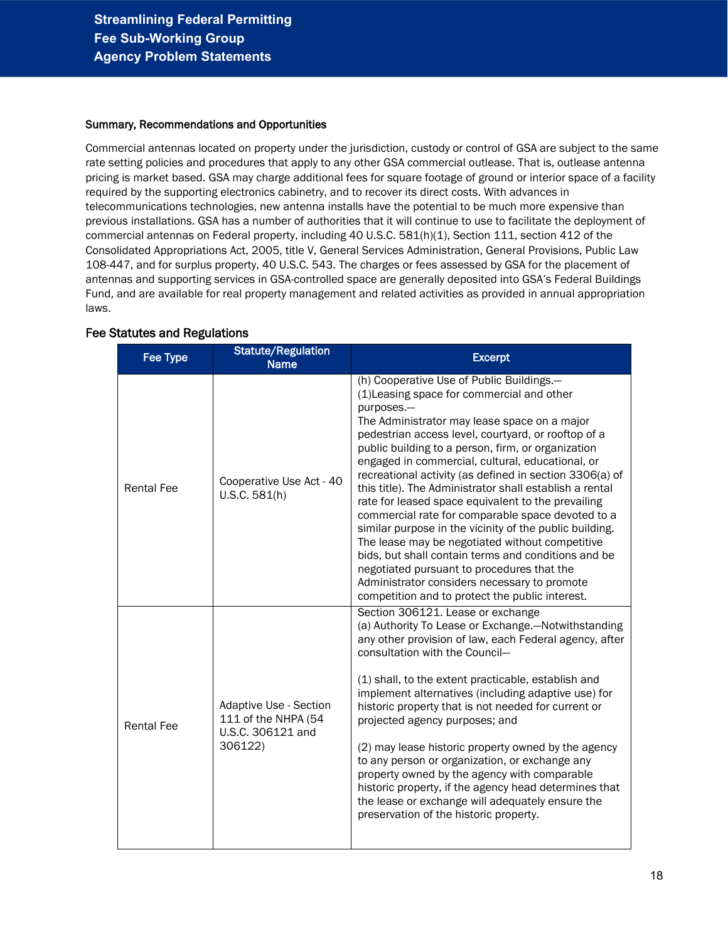#### Summary, Recommendations and Opportunities

Commercial antennas located on property under the jurisdiction, custody or control of GSA are subject to the same rate setting policies and procedures that apply to any other GSA commercial outlease. That is, outlease antenna pricing is market based. GSA may charge additional fees for square footage of ground or interior space of a facility required by the supporting electronics cabinetry, and to recover its direct costs. With advances in telecommunications technologies, new antenna installs have the potential to be much more expensive than previous installations. GSA has a number of authorities that it will continue to use to facilitate the deployment of commercial antennas on Federal property, including 40 U.S.C. 581(h)(1), Section 111, section 412 of the Consolidated Appropriations Act, 2005, title V, General Services Administration, General Provisions, Public Law 108-447, and for surplus property, 40 U.S.C. 543. The charges or fees assessed by GSA for the placement of antennas and supporting services in GSA-controlled space are generally deposited into GSA's Federal Buildings Fund, and are available for real property management and related activities as provided in annual appropriation laws.

| <b>Fee Type</b>   | <b>Statute/Regulation</b><br><b>Name</b>                                             | <b>Excerpt</b>                                                                                                                                                                                                                                                                                                                                                                                                                                                                                                                                                                                                                                                                                                                                                                                                                                                                |
|-------------------|--------------------------------------------------------------------------------------|-------------------------------------------------------------------------------------------------------------------------------------------------------------------------------------------------------------------------------------------------------------------------------------------------------------------------------------------------------------------------------------------------------------------------------------------------------------------------------------------------------------------------------------------------------------------------------------------------------------------------------------------------------------------------------------------------------------------------------------------------------------------------------------------------------------------------------------------------------------------------------|
| <b>Rental Fee</b> | Cooperative Use Act - 40<br>U.S.C. 581(h)                                            | (h) Cooperative Use of Public Buildings.-<br>(1) Leasing space for commercial and other<br>purposes.-<br>The Administrator may lease space on a major<br>pedestrian access level, courtyard, or rooftop of a<br>public building to a person, firm, or organization<br>engaged in commercial, cultural, educational, or<br>recreational activity (as defined in section 3306(a) of<br>this title). The Administrator shall establish a rental<br>rate for leased space equivalent to the prevailing<br>commercial rate for comparable space devoted to a<br>similar purpose in the vicinity of the public building.<br>The lease may be negotiated without competitive<br>bids, but shall contain terms and conditions and be<br>negotiated pursuant to procedures that the<br>Administrator considers necessary to promote<br>competition and to protect the public interest. |
| <b>Rental Fee</b> | <b>Adaptive Use - Section</b><br>111 of the NHPA (54<br>U.S.C. 306121 and<br>306122) | Section 306121. Lease or exchange<br>(a) Authority To Lease or Exchange.-Notwithstanding<br>any other provision of law, each Federal agency, after<br>consultation with the Council-<br>(1) shall, to the extent practicable, establish and<br>implement alternatives (including adaptive use) for<br>historic property that is not needed for current or<br>projected agency purposes; and<br>(2) may lease historic property owned by the agency<br>to any person or organization, or exchange any<br>property owned by the agency with comparable<br>historic property, if the agency head determines that<br>the lease or exchange will adequately ensure the<br>preservation of the historic property.                                                                                                                                                                   |